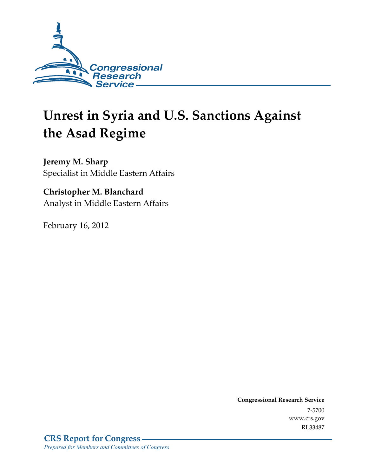

# **Unrest in Syria and U.S. Sanctions Against the Asad Regime**

**Jeremy M. Sharp**  Specialist in Middle Eastern Affairs

### **Christopher M. Blanchard**  Analyst in Middle Eastern Affairs

February 16, 2012

**Congressional Research Service**  7-5700 www.crs.gov RL33487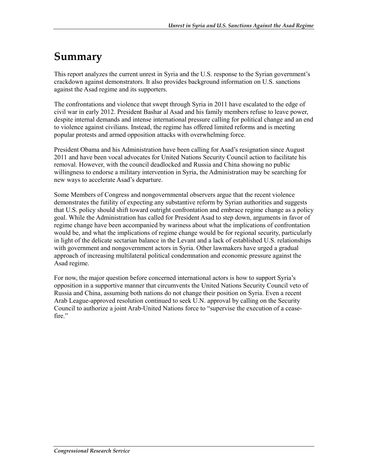## **Summary**

This report analyzes the current unrest in Syria and the U.S. response to the Syrian government's crackdown against demonstrators. It also provides background information on U.S. sanctions against the Asad regime and its supporters.

The confrontations and violence that swept through Syria in 2011 have escalated to the edge of civil war in early 2012. President Bashar al Asad and his family members refuse to leave power, despite internal demands and intense international pressure calling for political change and an end to violence against civilians. Instead, the regime has offered limited reforms and is meeting popular protests and armed opposition attacks with overwhelming force.

President Obama and his Administration have been calling for Asad's resignation since August 2011 and have been vocal advocates for United Nations Security Council action to facilitate his removal. However, with the council deadlocked and Russia and China showing no public willingness to endorse a military intervention in Syria, the Administration may be searching for new ways to accelerate Asad's departure.

Some Members of Congress and nongovernmental observers argue that the recent violence demonstrates the futility of expecting any substantive reform by Syrian authorities and suggests that U.S. policy should shift toward outright confrontation and embrace regime change as a policy goal. While the Administration has called for President Asad to step down, arguments in favor of regime change have been accompanied by wariness about what the implications of confrontation would be, and what the implications of regime change would be for regional security, particularly in light of the delicate sectarian balance in the Levant and a lack of established U.S. relationships with government and nongovernment actors in Syria. Other lawmakers have urged a gradual approach of increasing multilateral political condemnation and economic pressure against the Asad regime.

For now, the major question before concerned international actors is how to support Syria's opposition in a supportive manner that circumvents the United Nations Security Council veto of Russia and China, assuming both nations do not change their position on Syria. Even a recent Arab League-approved resolution continued to seek U.N. approval by calling on the Security Council to authorize a joint Arab-United Nations force to "supervise the execution of a ceasefire."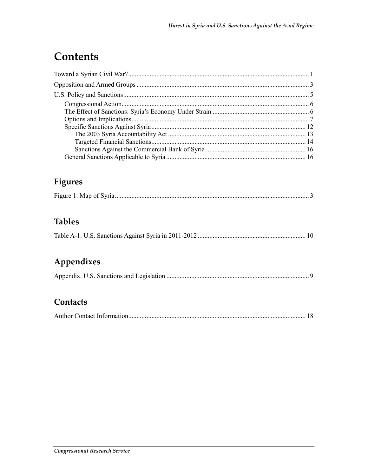## Contents

## Figures

|--|

## **Tables**

|--|

## Appendixes

|--|--|--|

### Contacts

|--|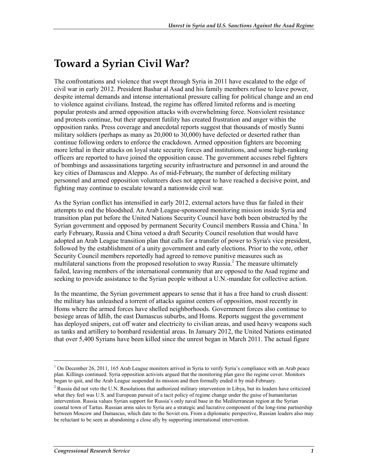## **Toward a Syrian Civil War?**

The confrontations and violence that swept through Syria in 2011 have escalated to the edge of civil war in early 2012. President Bashar al Asad and his family members refuse to leave power, despite internal demands and intense international pressure calling for political change and an end to violence against civilians. Instead, the regime has offered limited reforms and is meeting popular protests and armed opposition attacks with overwhelming force. Nonviolent resistance and protests continue, but their apparent futility has created frustration and anger within the opposition ranks. Press coverage and anecdotal reports suggest that thousands of mostly Sunni military soldiers (perhaps as many as 20,000 to 30,000) have defected or deserted rather than continue following orders to enforce the crackdown. Armed opposition fighters are becoming more lethal in their attacks on loyal state security forces and institutions, and some high-ranking officers are reported to have joined the opposition cause. The government accuses rebel fighters of bombings and assassinations targeting security infrastructure and personnel in and around the key cities of Damascus and Aleppo. As of mid-February, the number of defecting military personnel and armed opposition volunteers does not appear to have reached a decisive point, and fighting may continue to escalate toward a nationwide civil war.

As the Syrian conflict has intensified in early 2012, external actors have thus far failed in their attempts to end the bloodshed. An Arab League-sponsored monitoring mission inside Syria and transition plan put before the United Nations Security Council have both been obstructed by the Syrian government and opposed by permanent Security Council members Russia and China.<sup>1</sup> In early February, Russia and China vetoed a draft Security Council resolution that would have adopted an Arab League transition plan that calls for a transfer of power to Syria's vice president, followed by the establishment of a unity government and early elections. Prior to the vote, other Security Council members reportedly had agreed to remove punitive measures such as multilateral sanctions from the proposed resolution to sway Russia.<sup>2</sup> The measure ultimately failed, leaving members of the international community that are opposed to the Asad regime and seeking to provide assistance to the Syrian people without a U.N.-mandate for collective action.

In the meantime, the Syrian government appears to sense that it has a free hand to crush dissent: the military has unleashed a torrent of attacks against centers of opposition, most recently in Homs where the armed forces have shelled neighborhoods. Government forces also continue to besiege areas of Idlib, the east Damascus suburbs, and Homs. Reports suggest the government has deployed snipers, cut off water and electricity to civilian areas, and used heavy weapons such as tanks and artillery to bombard residential areas. In January 2012, the United Nations estimated that over 5,400 Syrians have been killed since the unrest began in March 2011. The actual figure

 $\overline{a}$ 

<sup>&</sup>lt;sup>1</sup> On December 26, 2011, 165 Arab League monitors arrived in Syria to verify Syria's compliance with an Arab peace plan. Killings continued. Syria opposition activists argued that the monitoring plan gave the regime cover. Monitors began to quit, and the Arab League suspended its mission and then formally ended it by mid-February.

<sup>&</sup>lt;sup>2</sup> Russia did not veto the U.N. Resolutions that authorized military intervention in Libya, but its leaders have criticized what they feel was U.S. and European pursuit of a tacit policy of regime change under the guise of humanitarian intervention. Russia values Syrian support for Russia's only naval base in the Mediterranean region at the Syrian coastal town of Tartus. Russian arms sales to Syria are a strategic and lucrative component of the long-time partnership between Moscow and Damascus, which date to the Soviet era. From a diplomatic perspective, Russian leaders also may be reluctant to be seen as abandoning a close ally by supporting international intervention.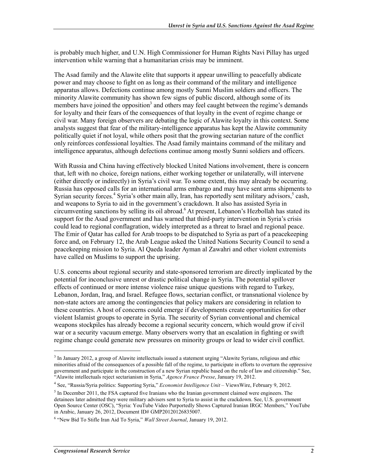is probably much higher, and U.N. High Commissioner for Human Rights Navi Pillay has urged intervention while warning that a humanitarian crisis may be imminent.

The Asad family and the Alawite elite that supports it appear unwilling to peacefully abdicate power and may choose to fight on as long as their command of the military and intelligence apparatus allows. Defections continue among mostly Sunni Muslim soldiers and officers. The minority Alawite community has shown few signs of public discord, although some of its members have joined the opposition<sup>3</sup> and others may feel caught between the regime's demands for loyalty and their fears of the consequences of that loyalty in the event of regime change or civil war. Many foreign observers are debating the logic of Alawite loyalty in this context. Some analysts suggest that fear of the military-intelligence apparatus has kept the Alawite community politically quiet if not loyal, while others posit that the growing sectarian nature of the conflict only reinforces confessional loyalties. The Asad family maintains command of the military and intelligence apparatus, although defections continue among mostly Sunni soldiers and officers.

With Russia and China having effectively blocked United Nations involvement, there is concern that, left with no choice, foreign nations, either working together or unilaterally, will intervene (either directly or indirectly) in Syria's civil war. To some extent, this may already be occurring. Russia has opposed calls for an international arms embargo and may have sent arms shipments to Syrian security forces.<sup>4</sup> Syria's other main ally, Iran, has reportedly sent military advisors,<sup>5</sup> cash, and weapons to Syria to aid in the government's crackdown. It also has assisted Syria in circumventing sanctions by selling its oil abroad.<sup>6</sup> At present, Lebanon's Hezbollah has stated its support for the Asad government and has warned that third-party intervention in Syria's crisis could lead to regional conflagration, widely interpreted as a threat to Israel and regional peace. The Emir of Qatar has called for Arab troops to be dispatched to Syria as part of a peacekeeping force and, on February 12, the Arab League asked the United Nations Security Council to send a peacekeeping mission to Syria. Al Qaeda leader Ayman al Zawahri and other violent extremists have called on Muslims to support the uprising.

U.S. concerns about regional security and state-sponsored terrorism are directly implicated by the potential for inconclusive unrest or drastic political change in Syria. The potential spillover effects of continued or more intense violence raise unique questions with regard to Turkey, Lebanon, Jordan, Iraq, and Israel. Refugee flows, sectarian conflict, or transnational violence by non-state actors are among the contingencies that policy makers are considering in relation to these countries. A host of concerns could emerge if developments create opportunities for other violent Islamist groups to operate in Syria. The security of Syrian conventional and chemical weapons stockpiles has already become a regional security concern, which would grow if civil war or a security vacuum emerge. Many observers worry that an escalation in fighting or swift regime change could generate new pressures on minority groups or lead to wider civil conflict.

<sup>&</sup>lt;sup>3</sup> In January 2012, a group of Alawite intellectuals issued a statement urging "Alawite Syrians, religious and ethic minorities afraid of the consequences of a possible fall of the regime, to participate in efforts to overturn the oppressive government and participate in the construction of a new Syrian republic based on the rule of law and citizenship." See, "Alawite intellectuals reject sectarianism in Syria," *Agence France Presse*, January 19, 2012.

<sup>4</sup> See, "Russia/Syria politics: Supporting Syria," *Economist Intelligence Unit* – ViewsWire, February 9, 2012.

 $<sup>5</sup>$  In December 2011, the FSA captured five Iranians who the Iranian government claimed were engineers. The</sup> detainees later admitted they were military advisers sent to Syria to assist in the crackdown. See, U.S. government Open Source Center (OSC), "Syria: YouTube Video Purportedly Shows Captured Iranian IRGC Members," YouTube in Arabic, January 26, 2012, Document ID# GMP20120126835007.

<sup>&</sup>lt;sup>6</sup> "New Bid To Stifle Iran Aid To Syria," *Wall Street Journal*, January 19, 2012.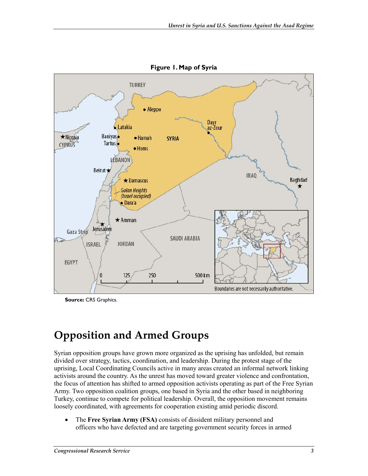

**Figure 1. Map of Syria** 

**Source:** CRS Graphics.

## **Opposition and Armed Groups**

Syrian opposition groups have grown more organized as the uprising has unfolded, but remain divided over strategy, tactics, coordination, and leadership. During the protest stage of the uprising, Local Coordinating Councils active in many areas created an informal network linking activists around the country. As the unrest has moved toward greater violence and confrontation, the focus of attention has shifted to armed opposition activists operating as part of the Free Syrian Army. Two opposition coalition groups, one based in Syria and the other based in neighboring Turkey, continue to compete for political leadership. Overall, the opposition movement remains loosely coordinated, with agreements for cooperation existing amid periodic discord.

• The **Free Syrian Army (FSA)** consists of dissident military personnel and officers who have defected and are targeting government security forces in armed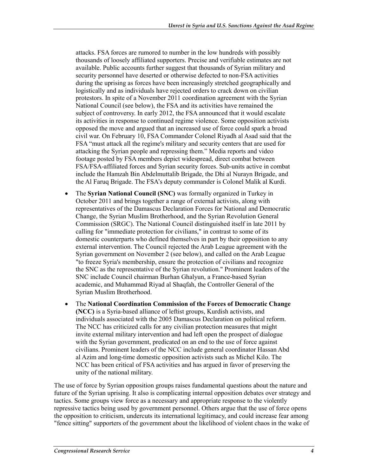attacks. FSA forces are rumored to number in the low hundreds with possibly thousands of loosely affiliated supporters. Precise and verifiable estimates are not available. Public accounts further suggest that thousands of Syrian military and security personnel have deserted or otherwise defected to non-FSA activities during the uprising as forces have been increasingly stretched geographically and logistically and as individuals have rejected orders to crack down on civilian protestors. In spite of a November 2011 coordination agreement with the Syrian National Council (see below), the FSA and its activities have remained the subject of controversy. In early 2012, the FSA announced that it would escalate its activities in response to continued regime violence. Some opposition activists opposed the move and argued that an increased use of force could spark a broad civil war. On February 10, FSA Commander Colonel Riyadh al Asad said that the FSA "must attack all the regime's military and security centers that are used for attacking the Syrian people and repressing them." Media reports and video footage posted by FSA members depict widespread, direct combat between FSA/FSA-affiliated forces and Syrian security forces. Sub-units active in combat include the Hamzah Bin Abdelmuttalib Brigade, the Dhi al Nurayn Brigade, and the Al Faruq Brigade. The FSA's deputy commander is Colonel Malik al Kurdi.

- The **Syrian National Council (SNC)** was formally organized in Turkey in October 2011 and brings together a range of external activists, along with representatives of the Damascus Declaration Forces for National and Democratic Change, the Syrian Muslim Brotherhood, and the Syrian Revolution General Commission (SRGC). The National Council distinguished itself in late 2011 by calling for "immediate protection for civilians," in contrast to some of its domestic counterparts who defined themselves in part by their opposition to any external intervention. The Council rejected the Arab League agreement with the Syrian government on November 2 (see below), and called on the Arab League "to freeze Syria's membership, ensure the protection of civilians and recognize the SNC as the representative of the Syrian revolution." Prominent leaders of the SNC include Council chairman Burhan Ghalyun, a France-based Syrian academic, and Muhammad Riyad al Shaqfah, the Controller General of the Syrian Muslim Brotherhood.
- The **National Coordination Commission of the Forces of Democratic Change (NCC)** is a Syria-based alliance of leftist groups, Kurdish activists, and individuals associated with the 2005 Damascus Declaration on political reform. The NCC has criticized calls for any civilian protection measures that might invite external military intervention and had left open the prospect of dialogue with the Syrian government, predicated on an end to the use of force against civilians. Prominent leaders of the NCC include general coordinator Hassan Abd al Azim and long-time domestic opposition activists such as Michel Kilo. The NCC has been critical of FSA activities and has argued in favor of preserving the unity of the national military.

The use of force by Syrian opposition groups raises fundamental questions about the nature and future of the Syrian uprising. It also is complicating internal opposition debates over strategy and tactics. Some groups view force as a necessary and appropriate response to the violently repressive tactics being used by government personnel. Others argue that the use of force opens the opposition to criticism, undercuts its international legitimacy, and could increase fear among "fence sitting" supporters of the government about the likelihood of violent chaos in the wake of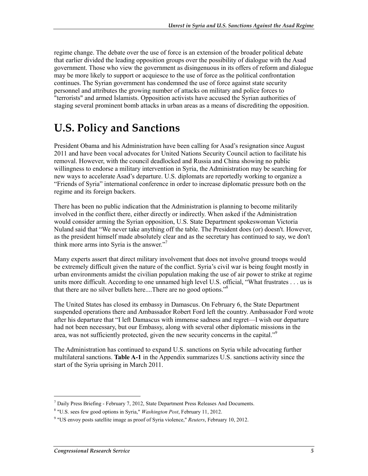regime change. The debate over the use of force is an extension of the broader political debate that earlier divided the leading opposition groups over the possibility of dialogue with the Asad government. Those who view the government as disingenuous in its offers of reform and dialogue may be more likely to support or acquiesce to the use of force as the political confrontation continues. The Syrian government has condemned the use of force against state security personnel and attributes the growing number of attacks on military and police forces to "terrorists" and armed Islamists. Opposition activists have accused the Syrian authorities of staging several prominent bomb attacks in urban areas as a means of discrediting the opposition.

## **U.S. Policy and Sanctions**

President Obama and his Administration have been calling for Asad's resignation since August 2011 and have been vocal advocates for United Nations Security Council action to facilitate his removal. However, with the council deadlocked and Russia and China showing no public willingness to endorse a military intervention in Syria, the Administration may be searching for new ways to accelerate Asad's departure. U.S. diplomats are reportedly working to organize a "Friends of Syria" international conference in order to increase diplomatic pressure both on the regime and its foreign backers.

There has been no public indication that the Administration is planning to become militarily involved in the conflict there, either directly or indirectly. When asked if the Administration would consider arming the Syrian opposition, U.S. State Department spokeswoman Victoria Nuland said that "We never take anything off the table. The President does (or) doesn't. However, as the president himself made absolutely clear and as the secretary has continued to say, we don't think more arms into Syria is the answer."7

Many experts assert that direct military involvement that does not involve ground troops would be extremely difficult given the nature of the conflict. Syria's civil war is being fought mostly in urban environments amidst the civilian population making the use of air power to strike at regime units more difficult. According to one unnamed high level U.S. official, "What frustrates . . . us is that there are no silver bullets here....There are no good options."<sup>8</sup>

The United States has closed its embassy in Damascus. On February 6, the State Department suspended operations there and Ambassador Robert Ford left the country. Ambassador Ford wrote after his departure that "I left Damascus with immense sadness and regret—I wish our departure had not been necessary, but our Embassy, along with several other diplomatic missions in the area, was not sufficiently protected, given the new security concerns in the capital. $\mathfrak{g}^9$ 

The Administration has continued to expand U.S. sanctions on Syria while advocating further multilateral sanctions. **Table A-1** in the Appendix summarizes U.S. sanctions activity since the start of the Syria uprising in March 2011.

<sup>&</sup>lt;sup>7</sup> Daily Press Briefing - February 7, 2012, State Department Press Releases And Documents.

<sup>8</sup> "U.S. sees few good options in Syria," *Washington Post*, February 11, 2012.

<sup>9</sup> "US envoy posts satellite image as proof of Syria violence," *Reuters*, February 10, 2012.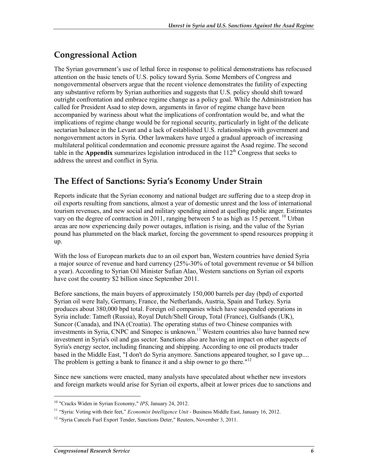## **Congressional Action**

The Syrian government's use of lethal force in response to political demonstrations has refocused attention on the basic tenets of U.S. policy toward Syria. Some Members of Congress and nongovernmental observers argue that the recent violence demonstrates the futility of expecting any substantive reform by Syrian authorities and suggests that U.S. policy should shift toward outright confrontation and embrace regime change as a policy goal. While the Administration has called for President Asad to step down, arguments in favor of regime change have been accompanied by wariness about what the implications of confrontation would be, and what the implications of regime change would be for regional security, particularly in light of the delicate sectarian balance in the Levant and a lack of established U.S. relationships with government and nongovernment actors in Syria. Other lawmakers have urged a gradual approach of increasing multilateral political condemnation and economic pressure against the Asad regime. The second table in the **Appendix** summarizes legislation introduced in the 112<sup>th</sup> Congress that seeks to address the unrest and conflict in Syria.

## **The Effect of Sanctions: Syria's Economy Under Strain**

Reports indicate that the Syrian economy and national budget are suffering due to a steep drop in oil exports resulting from sanctions, almost a year of domestic unrest and the loss of international tourism revenues, and new social and military spending aimed at quelling public anger. Estimates vary on the degree of contraction in 2011, ranging between 5 to as high as 15 percent.<sup>10</sup> Urban areas are now experiencing daily power outages, inflation is rising, and the value of the Syrian pound has plummeted on the black market, forcing the government to spend resources propping it up.

With the loss of European markets due to an oil export ban, Western countries have denied Syria a major source of revenue and hard currency (25%-30% of total government revenue or \$4 billion a year). According to Syrian Oil Minister Sufian Alao, Western sanctions on Syrian oil exports have cost the country \$2 billion since September 2011.

Before sanctions, the main buyers of approximately 150,000 barrels per day (bpd) of exported Syrian oil were Italy, Germany, France, the Netherlands, Austria, Spain and Turkey. Syria produces about 380,000 bpd total. Foreign oil companies which have suspended operations in Syria include: Tatneft (Russia), Royal Dutch/Shell Group, Total (France), Gulfsands (UK), Suncor (Canada), and INA (Croatia). The operating status of two Chinese companies with investments in Syria, CNPC and Sinopec is unknown.<sup>11</sup> Western countries also have banned new investment in Syria's oil and gas sector. Sanctions also are having an impact on other aspects of Syria's energy sector, including financing and shipping. According to one oil products trader based in the Middle East, "I don't do Syria anymore. Sanctions appeared tougher, so I gave up.... The problem is getting a bank to finance it and a ship owner to go there."<sup>12</sup>

Since new sanctions were enacted, many analysts have speculated about whether new investors and foreign markets would arise for Syrian oil exports, albeit at lower prices due to sanctions and

<sup>10 &</sup>quot;Cracks Widen in Syrian Economy," *IPS*, January 24, 2012.

<sup>11 &</sup>quot;Syria: Voting with their feet," *Economist Intelligence Unit* - Business Middle East, January 16, 2012.

<sup>&</sup>lt;sup>12</sup> "Syria Cancels Fuel Export Tender, Sanctions Deter," Reuters, November 3, 2011.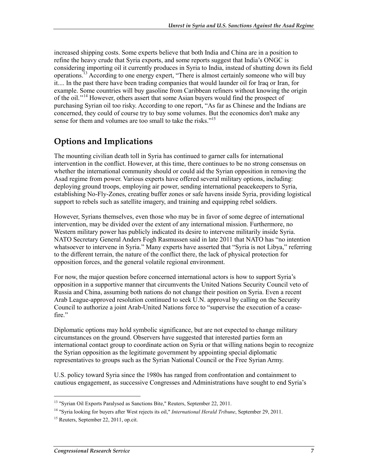increased shipping costs. Some experts believe that both India and China are in a position to refine the heavy crude that Syria exports, and some reports suggest that India's ONGC is considering importing oil it currently produces in Syria to India, instead of shutting down its field operations.13 According to one energy expert, "There is almost certainly someone who will buy it.... In the past there have been trading companies that would launder oil for Iraq or Iran, for example. Some countries will buy gasoline from Caribbean refiners without knowing the origin of the oil.<sup>"14</sup> However, others assert that some Asian buyers would find the prospect of purchasing Syrian oil too risky. According to one report, "As far as Chinese and the Indians are concerned, they could of course try to buy some volumes. But the economics don't make any sense for them and volumes are too small to take the risks.<sup> $15$ </sup>

## **Options and Implications**

The mounting civilian death toll in Syria has continued to garner calls for international intervention in the conflict. However, at this time, there continues to be no strong consensus on whether the international community should or could aid the Syrian opposition in removing the Asad regime from power. Various experts have offered several military options, including: deploying ground troops, employing air power, sending international peacekeepers to Syria, establishing No-Fly-Zones, creating buffer zones or safe havens inside Syria, providing logistical support to rebels such as satellite imagery, and training and equipping rebel soldiers.

However, Syrians themselves, even those who may be in favor of some degree of international intervention, may be divided over the extent of any international mission. Furthermore, no Western military power has publicly indicated its desire to intervene militarily inside Syria. NATO Secretary General Anders Fogh Rasmussen said in late 2011 that NATO has "no intention whatsoever to intervene in Syria." Many experts have asserted that "Syria is not Libya," referring to the different terrain, the nature of the conflict there, the lack of physical protection for opposition forces, and the general volatile regional environment.

For now, the major question before concerned international actors is how to support Syria's opposition in a supportive manner that circumvents the United Nations Security Council veto of Russia and China, assuming both nations do not change their position on Syria. Even a recent Arab League-approved resolution continued to seek U.N. approval by calling on the Security Council to authorize a joint Arab-United Nations force to "supervise the execution of a ceasefire."

Diplomatic options may hold symbolic significance, but are not expected to change military circumstances on the ground. Observers have suggested that interested parties form an international contact group to coordinate action on Syria or that willing nations begin to recognize the Syrian opposition as the legitimate government by appointing special diplomatic representatives to groups such as the Syrian National Council or the Free Syrian Army.

U.S. policy toward Syria since the 1980s has ranged from confrontation and containment to cautious engagement, as successive Congresses and Administrations have sought to end Syria's

<sup>&</sup>lt;sup>13</sup> "Syrian Oil Exports Paralysed as Sanctions Bite," Reuters, September 22, 2011.

<sup>14 &</sup>quot;Syria looking for buyers after West rejects its oil," *International Herald Tribune*, September 29, 2011.

<sup>&</sup>lt;sup>15</sup> Reuters, September 22, 2011, op.cit.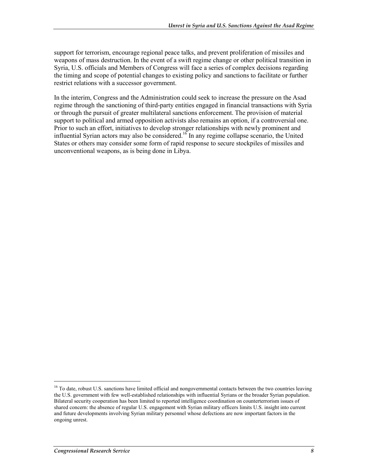support for terrorism, encourage regional peace talks, and prevent proliferation of missiles and weapons of mass destruction. In the event of a swift regime change or other political transition in Syria, U.S. officials and Members of Congress will face a series of complex decisions regarding the timing and scope of potential changes to existing policy and sanctions to facilitate or further restrict relations with a successor government.

In the interim, Congress and the Administration could seek to increase the pressure on the Asad regime through the sanctioning of third-party entities engaged in financial transactions with Syria or through the pursuit of greater multilateral sanctions enforcement. The provision of material support to political and armed opposition activists also remains an option, if a controversial one. Prior to such an effort, initiatives to develop stronger relationships with newly prominent and influential Syrian actors may also be considered.<sup>16</sup> In any regime collapse scenario, the United States or others may consider some form of rapid response to secure stockpiles of missiles and unconventional weapons, as is being done in Libya.

 $\overline{a}$ 

<sup>&</sup>lt;sup>16</sup> To date, robust U.S. sanctions have limited official and nongovernmental contacts between the two countries leaving the U.S. government with few well-established relationships with influential Syrians or the broader Syrian population. Bilateral security cooperation has been limited to reported intelligence coordination on counterterrorism issues of shared concern: the absence of regular U.S. engagement with Syrian military officers limits U.S. insight into current and future developments involving Syrian military personnel whose defections are now important factors in the ongoing unrest.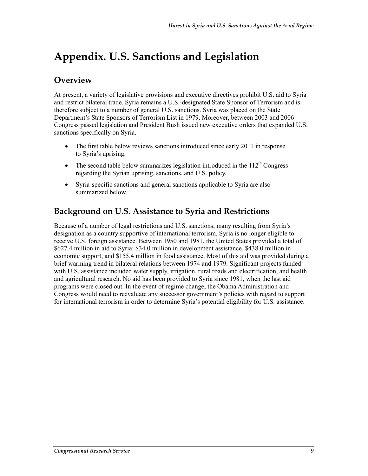## **Appendix. U.S. Sanctions and Legislation**

### **Overview**

At present, a variety of legislative provisions and executive directives prohibit U.S. aid to Syria and restrict bilateral trade. Syria remains a U.S.-designated State Sponsor of Terrorism and is therefore subject to a number of general U.S. sanctions. Syria was placed on the State Department's State Sponsors of Terrorism List in 1979. Moreover, between 2003 and 2006 Congress passed legislation and President Bush issued new executive orders that expanded U.S. sanctions specifically on Syria.

- The first table below reviews sanctions introduced since early 2011 in response to Syria's uprising.
- The second table below summarizes legislation introduced in the  $112<sup>th</sup>$  Congress regarding the Syrian uprising, sanctions, and U.S. policy.
- Syria-specific sanctions and general sanctions applicable to Syria are also summarized below.

## **Background on U.S. Assistance to Syria and Restrictions**

Because of a number of legal restrictions and U.S. sanctions, many resulting from Syria's designation as a country supportive of international terrorism, Syria is no longer eligible to receive U.S. foreign assistance. Between 1950 and 1981, the United States provided a total of \$627.4 million in aid to Syria: \$34.0 million in development assistance, \$438.0 million in economic support, and \$155.4 million in food assistance. Most of this aid was provided during a brief warming trend in bilateral relations between 1974 and 1979. Significant projects funded with U.S. assistance included water supply, irrigation, rural roads and electrification, and health and agricultural research. No aid has been provided to Syria since 1981, when the last aid programs were closed out. In the event of regime change, the Obama Administration and Congress would need to reevaluate any successor government's policies with regard to support for international terrorism in order to determine Syria's potential eligibility for U.S. assistance.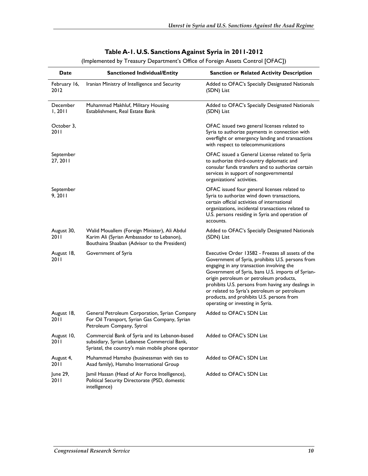| Date                  | <b>Sanctioned Individual/Entity</b>                                                                                                                  | <b>Sanction or Related Activity Description</b>                                                                                                                                                                                                                                                                                                                                                                                           |
|-----------------------|------------------------------------------------------------------------------------------------------------------------------------------------------|-------------------------------------------------------------------------------------------------------------------------------------------------------------------------------------------------------------------------------------------------------------------------------------------------------------------------------------------------------------------------------------------------------------------------------------------|
| February 16,<br>2012  | Iranian Ministry of Intelligence and Security                                                                                                        | Added to OFAC's Specially Designated Nationals<br>(SDN) List                                                                                                                                                                                                                                                                                                                                                                              |
| December<br>1, 2011   | Muhammad Makhluf, Military Housing<br>Establishment, Real Estate Bank                                                                                | Added to OFAC's Specially Designated Nationals<br>(SDN) List                                                                                                                                                                                                                                                                                                                                                                              |
| October 3,<br>2011    |                                                                                                                                                      | OFAC issued two general licenses related to<br>Syria to authorize payments in connection with<br>overflight or emergency landing and transactions<br>with respect to telecommunications                                                                                                                                                                                                                                                   |
| September<br>27, 2011 |                                                                                                                                                      | OFAC issued a General License related to Syria<br>to authorize third-country diplomatic and<br>consular funds transfers and to authorize certain<br>services in support of nongovernmental<br>organizations' activities.                                                                                                                                                                                                                  |
| September<br>9, 2011  |                                                                                                                                                      | OFAC issued four general licenses related to<br>Syria to authorize wind down transactions,<br>certain official activities of international<br>organizations, incidental transactions related to<br>U.S. persons residing in Syria and operation of<br>accounts.                                                                                                                                                                           |
| August 30,<br>2011    | Walid Mouallem (Foreign Minister), Ali Abdul<br>Karim Ali (Syrian Ambassador to Lebanon),<br>Bouthaina Shaaban (Advisor to the President)            | Added to OFAC's Specially Designated Nationals<br>(SDN) List                                                                                                                                                                                                                                                                                                                                                                              |
| August 18,<br>2011    | Government of Syria                                                                                                                                  | Executive Order 13582 - Freezes all assets of the<br>Government of Syria, prohibits U.S. persons from<br>engaging in any transaction involving the<br>Government of Syria, bans U.S. imports of Syrian-<br>origin petroleum or petroleum products,<br>prohibits U.S. persons from having any dealings in<br>or related to Syria's petroleum or petroleum<br>products, and prohibits U.S. persons from<br>operating or investing in Syria. |
| August 18,<br>2011    | General Petroleum Corporation, Syrian Company<br>For Oil Transport, Syrian Gas Company, Syrian<br>Petroleum Company, Sytrol                          | Added to OFAC's SDN List                                                                                                                                                                                                                                                                                                                                                                                                                  |
| August 10,<br>20 I I  | Commercial Bank of Syria and its Lebanon-based<br>subsidiary, Syrian Lebanese Commercial Bank,<br>Syriatel, the country's main mobile phone operator | Added to OFAC's SDN List                                                                                                                                                                                                                                                                                                                                                                                                                  |
| August 4,<br>2011     | Muhammad Hamsho (businessman with ties to<br>Asad family), Hamsho International Group                                                                | Added to OFAC's SDN List                                                                                                                                                                                                                                                                                                                                                                                                                  |
| June 29,<br>20 I I    | Jamil Hassan (Head of Air Force Intelligence),<br>Political Security Directorate (PSD, domestic<br>intelligence)                                     | Added to OFAC's SDN List                                                                                                                                                                                                                                                                                                                                                                                                                  |

#### **Table A-1. U.S. Sanctions Against Syria in 2011-2012**

(Implemented by Treasury Department's Office of Foreign Assets Control [OFAC])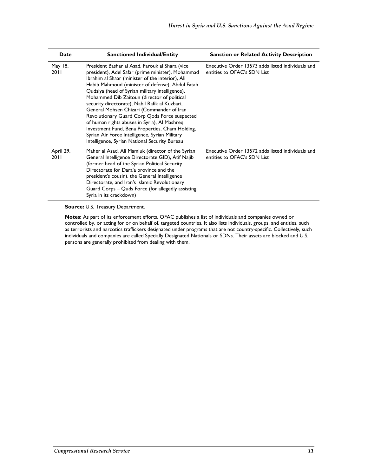| Date              | <b>Sanctioned Individual/Entity</b>                                                                                                                                                                                                                                                                                                                                                                                                                                                                                                                                                                                                                                  | <b>Sanction or Related Activity Description</b>                                  |
|-------------------|----------------------------------------------------------------------------------------------------------------------------------------------------------------------------------------------------------------------------------------------------------------------------------------------------------------------------------------------------------------------------------------------------------------------------------------------------------------------------------------------------------------------------------------------------------------------------------------------------------------------------------------------------------------------|----------------------------------------------------------------------------------|
| May 18,<br>2011   | President Bashar al Asad, Farouk al Shara (vice<br>president), Adel Safar (prime minister), Mohammad<br>Ibrahim al Shaar (minister of the interior), Ali<br>Habib Mahmoud (minister of defense), Abdul Fatah<br>Qudsiya (head of Syrian military intelligence),<br>Mohammed Dib Zaitoun (director of political<br>security directorate), Nabil Rafik al Kuzbari,<br>General Mohsen Chizari (Commander of Iran<br>Revolutionary Guard Corp Qods Force suspected<br>of human rights abuses in Syria), Al Mashreq<br>Investment Fund, Bena Properties, Cham Holding,<br>Syrian Air Force Intelligence, Syrian Military<br>Intelligence, Syrian National Security Bureau | Executive Order 13573 adds listed individuals and<br>entities to OFAC's SDN List |
| April 29,<br>2011 | Maher al Asad, Ali Mamluk (director of the Syrian<br>General Intelligence Directorate GID), Atif Najib<br>(former head of the Syrian Political Security<br>Directorate for Dara'a province and the<br>president's cousin). the General Intelligence<br>Directorate, and Iran's Islamic Revolutionary<br>Guard Corps - Quds Force (for allegedly assisting<br>Syria in its crackdown)                                                                                                                                                                                                                                                                                 | Executive Order 13572 adds listed individuals and<br>entities to OFAC's SDN List |

**Source:** U.S. Treasury Department.

**Notes:** As part of its enforcement efforts, OFAC publishes a list of individuals and companies owned or controlled by, or acting for or on behalf of, targeted countries. It also lists individuals, groups, and entities, such as terrorists and narcotics traffickers designated under programs that are not country-specific. Collectively, such individuals and companies are called Specially Designated Nationals or SDNs. Their assets are blocked and U.S. persons are generally prohibited from dealing with them.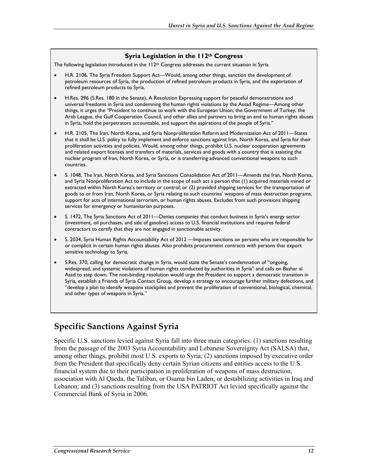#### **Syria Legislation in the 112th Congress**

The following legislation introduced in the 112<sup>th</sup> Congress addresses the current situation in Syria.

- H.R. 2106, The Syria Freedom Support Act—Would, among other things, sanction the development of petroleum resources of Syria, the production of refined petroleum products in Syria, and the exportation of refined petroleum products to Syria.
- H.Res. 296 (S.Res. 180 in the Senate), A Resolution Expressing support for peaceful demonstrations and universal freedoms in Syria and condemning the human rights violations by the Assad Regime—Among other things, it urges the "President to continue to work with the European Union, the Government of Turkey, the Arab League, the Gulf Cooperation Council, and other allies and partners to bring an end to human rights abuses in Syria, hold the perpetrators accountable, and support the aspirations of the people of Syria."
- H.R. 2105, The Iran, North Korea, and Syria Nonproliferation Reform and Modernization Act of 2011—States that it shall be U.S. policy to fully implement and enforce sanctions against Iran, North Korea, and Syria for their proliferation activities and policies. Would, among other things, prohibit U.S. nuclear cooperation agreements and related export licenses and transfers of materials, services and goods with a country that is assisting the nuclear program of Iran, North Korea, or Syria, or is transferring advanced conventional weapons to such countries.
- S. 1048, The Iran, North Korea, and Syria Sanctions Consolidation Act of 2011—Amends the Iran, North Korea, and Syria Nonproliferation Act to include in the scope of such act a person that (1) acquired materials mined or extracted within North Korea's territory or control; or (2) provided shipping services for the transportation of goods to or from Iran, North Korea, or Syria relating to such countries' weapons of mass destruction programs, support for acts of international terrorism, or human rights abuses. Excludes from such provisions shipping services for emergency or humanitarian purposes.
- S. 1472, The Syria Sanctions Act of 2011—Denies companies that conduct business in Syria's energy sector (investment, oil purchases, and sale of gasoline) access to U.S. financial institutions and requires federal contractors to certify that they are not engaged in sanctionable activity.
- S. 2034, Syria Human Rights Accountability Act of 2012 —Imposes sanctions on persons who are responsible for or complicit in certain human rights abuses. Also prohibits procurement contracts with persons that export sensitive technology to Syria.
- S.Res. 370, calling for democratic change in Syria, would state the Senate's condemnation of "ongoing, widespread, and systemic violations of human rights conducted by authorities in Syria" and calls on Bashar al Asad to step down. The non-binding resolution would urge the President to support a democratic transition in Syria, establish a Friends of Syria Contact Group, develop a strategy to encourage further military defections, and "develop a plan to identify weapons stockpiles and prevent the proliferation of conventional, biological, chemical, and other types of weapons in Syria."

### **Specific Sanctions Against Syria**

Specific U.S. sanctions levied against Syria fall into three main categories: (1) sanctions resulting from the passage of the 2003 Syria Accountability and Lebanese Sovereignty Act (SALSA) that, among other things, prohibit most U.S. exports to Syria; (2) sanctions imposed by executive order from the President that specifically deny certain Syrian citizens and entities access to the U.S. financial system due to their participation in proliferation of weapons of mass destruction, association with Al Qaeda, the Taliban, or Osama bin Laden; or destabilizing activities in Iraq and Lebanon; and (3) sanctions resulting from the USA PATRIOT Act levied specifically against the Commercial Bank of Syria in 2006.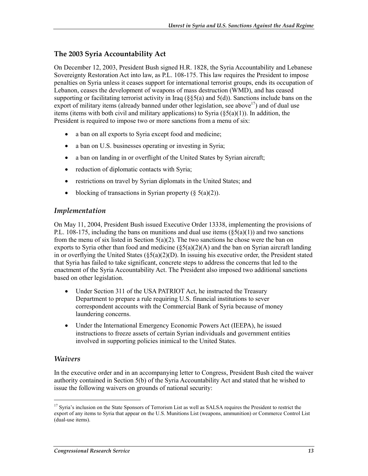### **The 2003 Syria Accountability Act**

On December 12, 2003, President Bush signed H.R. 1828, the Syria Accountability and Lebanese Sovereignty Restoration Act into law, as P.L. 108-175. This law requires the President to impose penalties on Syria unless it ceases support for international terrorist groups, ends its occupation of Lebanon, ceases the development of weapons of mass destruction (WMD), and has ceased supporting or facilitating terrorist activity in Iraq ( $\S$ §5(a) and 5(d)). Sanctions include bans on the export of military items (already banned under other legislation, see above<sup>17</sup>) and of dual use items (items with both civil and military applications) to Syria  $(\xi 5(a)(1))$ . In addition, the President is required to impose two or more sanctions from a menu of six:

- a ban on all exports to Syria except food and medicine;
- a ban on U.S. businesses operating or investing in Syria;
- a ban on landing in or overflight of the United States by Syrian aircraft;
- reduction of diplomatic contacts with Syria;
- restrictions on travel by Syrian diplomats in the United States; and
- blocking of transactions in Syrian property  $(8.5(a)(2))$ .

#### *Implementation*

On May 11, 2004, President Bush issued Executive Order 13338, implementing the provisions of P.L. 108-175, including the bans on munitions and dual use items  $(\xi 5(a)(1))$  and two sanctions from the menu of six listed in Section  $5(a)(2)$ . The two sanctions he chose were the ban on exports to Syria other than food and medicine  $(\xi 5(a)(2)(A)$  and the ban on Syrian aircraft landing in or overflying the United States ( $\delta$ 5(a)(2)(D). In issuing his executive order, the President stated that Syria has failed to take significant, concrete steps to address the concerns that led to the enactment of the Syria Accountability Act. The President also imposed two additional sanctions based on other legislation.

- Under Section 311 of the USA PATRIOT Act, he instructed the Treasury Department to prepare a rule requiring U.S. financial institutions to sever correspondent accounts with the Commercial Bank of Syria because of money laundering concerns.
- Under the International Emergency Economic Powers Act (IEEPA), he issued instructions to freeze assets of certain Syrian individuals and government entities involved in supporting policies inimical to the United States.

#### *Waivers*

1

In the executive order and in an accompanying letter to Congress, President Bush cited the waiver authority contained in Section 5(b) of the Syria Accountability Act and stated that he wished to issue the following waivers on grounds of national security:

<sup>&</sup>lt;sup>17</sup> Syria's inclusion on the State Sponsors of Terrorism List as well as SALSA requires the President to restrict the export of any items to Syria that appear on the U.S. Munitions List (weapons, ammunition) or Commerce Control List (dual-use items).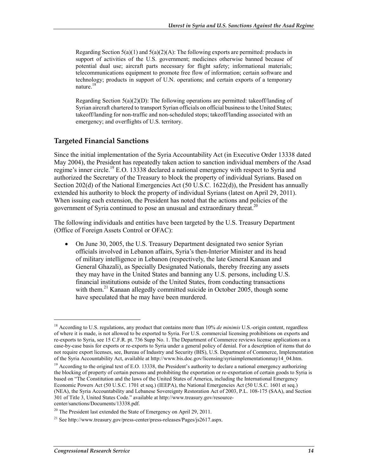Regarding Section  $5(a)(1)$  and  $5(a)(2)(A)$ : The following exports are permitted: products in support of activities of the U.S. government; medicines otherwise banned because of potential dual use; aircraft parts necessary for flight safety; informational materials; telecommunications equipment to promote free flow of information; certain software and technology; products in support of U.N. operations; and certain exports of a temporary nature.<sup>18</sup>

Regarding Section  $5(a)(2)(D)$ : The following operations are permitted: takeoff/landing of Syrian aircraft chartered to transport Syrian officials on official business to the United States; takeoff/landing for non-traffic and non-scheduled stops; takeoff/landing associated with an emergency; and overflights of U.S. territory.

#### **Targeted Financial Sanctions**

Since the initial implementation of the Syria Accountability Act (in Executive Order 13338 dated May 2004), the President has repeatedly taken action to sanction individual members of the Asad regime's inner circle.<sup>19</sup> E.O. 13338 declared a national emergency with respect to Syria and authorized the Secretary of the Treasury to block the property of individual Syrians. Based on Section 202(d) of the National Emergencies Act (50 U.S.C. 1622(d)), the President has annually extended his authority to block the property of individual Syrians (latest on April 29, 2011). When issuing each extension, the President has noted that the actions and policies of the government of Syria continued to pose an unusual and extraordinary threat.<sup>20</sup>

The following individuals and entities have been targeted by the U.S. Treasury Department (Office of Foreign Assets Control or OFAC):

• On June 30, 2005, the U.S. Treasury Department designated two senior Syrian officials involved in Lebanon affairs, Syria's then-Interior Minister and its head of military intelligence in Lebanon (respectively, the late General Kanaan and General Ghazali), as Specially Designated Nationals, thereby freezing any assets they may have in the United States and banning any U.S. persons, including U.S. financial institutions outside of the United States, from conducting transactions with them.<sup>21</sup> Kanaan allegedly committed suicide in October 2005, though some have speculated that he may have been murdered.

<sup>&</sup>lt;sup>18</sup> According to U.S. regulations, any product that contains more than 10% *de minimis* U.S.-origin content, regardless of where it is made, is not allowed to be exported to Syria. For U.S. commercial licensing prohibitions on exports and re-exports to Syria, see 15 C.F.R. pt. 736 Supp No. 1. The Department of Commerce reviews license applications on a case-by-case basis for exports or re-exports to Syria under a general policy of denial. For a description of items that do not require export licenses, see, Bureau of Industry and Security (BIS), U.S. Department of Commerce, Implementation of the Syria Accountability Act, available at http://www.bis.doc.gov/licensing/syriaimplementationmay14\_04.htm.

<sup>&</sup>lt;sup>19</sup> According to the original text of E.O. 13338, the President's authority to declare a national emergency authorizing the blocking of property of certain persons and prohibiting the exportation or re-exportation of certain goods to Syria is based on "The Constitution and the laws of the United States of America, including the International Emergency Economic Powers Act (50 U.S.C. 1701 et seq.) (IEEPA), the National Emergencies Act (50 U.S.C. 1601 et seq.) (NEA), the Syria Accountability and Lebanese Sovereignty Restoration Act of 2003, P.L. 108-175 (SAA), and Section 301 of Title 3, United States Code." available at http://www.treasury.gov/resourcecenter/sanctions/Documents/13338.pdf.

 $^{20}$  The President last extended the State of Emergency on April 29, 2011.

<sup>&</sup>lt;sup>21</sup> See http://www.treasury.gov/press-center/press-releases/Pages/js2617.aspx.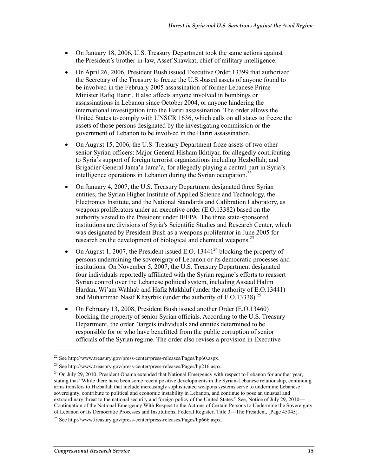- On January 18, 2006, U.S. Treasury Department took the same actions against the President's brother-in-law, Assef Shawkat, chief of military intelligence.
- On April 26, 2006, President Bush issued Executive Order 13399 that authorized the Secretary of the Treasury to freeze the U.S.-based assets of anyone found to be involved in the February 2005 assassination of former Lebanese Prime Minister Rafiq Hariri. It also affects anyone involved in bombings or assassinations in Lebanon since October 2004, or anyone hindering the international investigation into the Hariri assassination. The order allows the United States to comply with UNSCR 1636, which calls on all states to freeze the assets of those persons designated by the investigating commission or the government of Lebanon to be involved in the Hariri assassination.
- On August 15, 2006, the U.S. Treasury Department froze assets of two other senior Syrian officers: Major General Hisham Ikhtiyar, for allegedly contributing to Syria's support of foreign terrorist organizations including Hezbollah; and Brigadier General Jama'a Jama'a, for allegedly playing a central part in Syria's intelligence operations in Lebanon during the Syrian occupation.<sup>22</sup>
- On January 4, 2007, the U.S. Treasury Department designated three Syrian entities, the Syrian Higher Institute of Applied Science and Technology, the Electronics Institute, and the National Standards and Calibration Laboratory, as weapons proliferators under an executive order (E.O.13382) based on the authority vested to the President under IEEPA. The three state-sponsored institutions are divisions of Syria's Scientific Studies and Research Center, which was designated by President Bush as a weapons proliferator in June 2005 for research on the development of biological and chemical weapons.<sup>23</sup>
- On August 1, 2007, the President issued E.O. 13441<sup>24</sup> blocking the property of persons undermining the sovereignty of Lebanon or its democratic processes and institutions. On November 5, 2007, the U.S. Treasury Department designated four individuals reportedly affiliated with the Syrian regime's efforts to reassert Syrian control over the Lebanese political system, including Assaad Halim Hardan, Wi'am Wahhab and Hafiz Makhluf (under the authority of E.O.13441) and Muhammad Nasif Khayrbik (under the authority of E.O.13338).<sup>25</sup>
- On February 13, 2008, President Bush issued another Order (E.O.13460) blocking the property of senior Syrian officials. According to the U.S. Treasury Department, the order "targets individuals and entities determined to be responsible for or who have benefitted from the public corruption of senior officials of the Syrian regime. The order also revises a provision in Executive

<sup>22</sup> See http://www.treasury.gov/press-center/press-releases/Pages/hp60.aspx.

<sup>23</sup> See http://www.treasury.gov/press-center/press-releases/Pages/hp216.aspx.

<sup>&</sup>lt;sup>24</sup> On July 29, 2010, President Obama extended that National Emergency with respect to Lebanon for another year, stating that "While there have been some recent positive developments in the Syrian-Lebanese relationship, continuing arms transfers to Hizballah that include increasingly sophisticated weapons systems serve to undermine Lebanese sovereignty, contribute to political and economic instability in Lebanon, and continue to pose an unusual and extraordinary threat to the national security and foreign policy of the United States." See, Notice of July 29, 2010— Continuation of the National Emergency With Respect to the Actions of Certain Persons to Undermine the Sovereignty of Lebanon or Its Democratic Processes and Institutions, Federal Register, Title 3—The President, [Page 45045].

<sup>&</sup>lt;sup>25</sup> See http://www.treasury.gov/press-center/press-releases/Pages/hp666.aspx.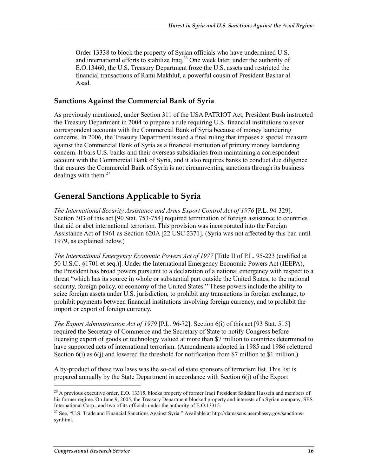Order 13338 to block the property of Syrian officials who have undermined U.S. and international efforts to stabilize Iraq.26 One week later, under the authority of E.O.13460, the U.S. Treasury Department froze the U.S. assets and restricted the financial transactions of Rami Makhluf, a powerful cousin of President Bashar al Asad.

### **Sanctions Against the Commercial Bank of Syria**

As previously mentioned, under Section 311 of the USA PATRIOT Act, President Bush instructed the Treasury Department in 2004 to prepare a rule requiring U.S. financial institutions to sever correspondent accounts with the Commercial Bank of Syria because of money laundering concerns. In 2006, the Treasury Department issued a final ruling that imposes a special measure against the Commercial Bank of Syria as a financial institution of primary money laundering concern. It bars U.S. banks and their overseas subsidiaries from maintaining a correspondent account with the Commercial Bank of Syria, and it also requires banks to conduct due diligence that ensures the Commercial Bank of Syria is not circumventing sanctions through its business dealings with them. $27$ 

## **General Sanctions Applicable to Syria**

*The International Security Assistance and Arms Export Control Act of 1976* [P.L. 94-329]. Section 303 of this act [90 Stat. 753-754] required termination of foreign assistance to countries that aid or abet international terrorism. This provision was incorporated into the Foreign Assistance Act of 1961 as Section 620A [22 USC 2371]. (Syria was not affected by this ban until 1979, as explained below.)

*The International Emergency Economic Powers Act of 1977* [Title II of P.L. 95-223 (codified at 50 U.S.C. §1701 et seq.)]. Under the International Emergency Economic Powers Act (IEEPA), the President has broad powers pursuant to a declaration of a national emergency with respect to a threat "which has its source in whole or substantial part outside the United States, to the national security, foreign policy, or economy of the United States." These powers include the ability to seize foreign assets under U.S. jurisdiction, to prohibit any transactions in foreign exchange, to prohibit payments between financial institutions involving foreign currency, and to prohibit the import or export of foreign currency.

*The Export Administration Act of 1979* [P.L. 96-72]. Section 6(i) of this act [93 Stat. 515] required the Secretary of Commerce and the Secretary of State to notify Congress before licensing export of goods or technology valued at more than \$7 million to countries determined to have supported acts of international terrorism. (Amendments adopted in 1985 and 1986 relettered Section  $6(i)$  as  $6(i)$  and lowered the threshold for notification from \$7 million to \$1 million.)

A by-product of these two laws was the so-called state sponsors of terrorism list. This list is prepared annually by the State Department in accordance with Section 6(j) of the Export

<sup>&</sup>lt;sup>26</sup> A previous executive order, E.O. 13315, blocks property of former Iraqi President Saddam Hussein and members of his former regime. On June 9, 2005, the Treasury Department blocked property and interests of a Syrian company, SES International Corp., and two of its officials under the authority of E.O.13315.

<sup>&</sup>lt;sup>27</sup> See, "U.S. Trade and Financial Sanctions Against Syria." Available at http://damascus.usembassy.gov/sanctionssyr.html.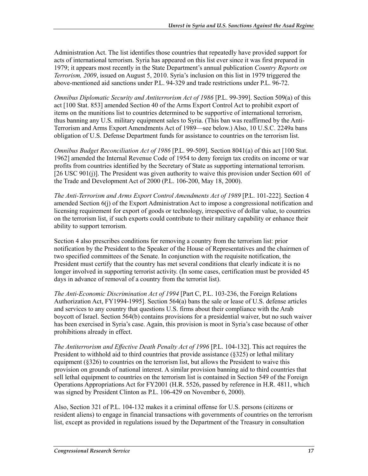Administration Act. The list identifies those countries that repeatedly have provided support for acts of international terrorism. Syria has appeared on this list ever since it was first prepared in 1979; it appears most recently in the State Department's annual publication *Country Reports on Terrorism, 2009*, issued on August 5, 2010. Syria's inclusion on this list in 1979 triggered the above-mentioned aid sanctions under P.L. 94-329 and trade restrictions under P.L. 96-72.

*Omnibus Diplomatic Security and Antiterrorism Act of 1986* [P.L. 99-399]. Section 509(a) of this act [100 Stat. 853] amended Section 40 of the Arms Export Control Act to prohibit export of items on the munitions list to countries determined to be supportive of international terrorism, thus banning any U.S. military equipment sales to Syria. (This ban was reaffirmed by the Anti-Terrorism and Arms Export Amendments Act of 1989—see below.) Also, 10 U.S.C. 2249a bans obligation of U.S. Defense Department funds for assistance to countries on the terrorism list.

*Omnibus Budget Reconciliation Act of 1986* [P.L. 99-509]. Section 8041(a) of this act [100 Stat. 1962] amended the Internal Revenue Code of 1954 to deny foreign tax credits on income or war profits from countries identified by the Secretary of State as supporting international terrorism. [26 USC 901(j)]. The President was given authority to waive this provision under Section 601 of the Trade and Development Act of 2000 (P.L. 106-200, May 18, 2000).

*The Anti-Terrorism and Arms Export Control Amendments Act of 1989* [P.L. 101-222]. Section 4 amended Section 6(j) of the Export Administration Act to impose a congressional notification and licensing requirement for export of goods or technology, irrespective of dollar value, to countries on the terrorism list, if such exports could contribute to their military capability or enhance their ability to support terrorism.

Section 4 also prescribes conditions for removing a country from the terrorism list: prior notification by the President to the Speaker of the House of Representatives and the chairmen of two specified committees of the Senate. In conjunction with the requisite notification, the President must certify that the country has met several conditions that clearly indicate it is no longer involved in supporting terrorist activity. (In some cases, certification must be provided 45 days in advance of removal of a country from the terrorist list).

*The Anti-Economic Discrimination Act of 1994* [Part C, P.L. 103-236, the Foreign Relations Authorization Act, FY1994-1995]. Section 564(a) bans the sale or lease of U.S. defense articles and services to any country that questions U.S. firms about their compliance with the Arab boycott of Israel. Section 564(b) contains provisions for a presidential waiver, but no such waiver has been exercised in Syria's case. Again, this provision is moot in Syria's case because of other prohibitions already in effect.

*The Antiterrorism and Effective Death Penalty Act of 1996* [P.L. 104-132]. This act requires the President to withhold aid to third countries that provide assistance (§325) or lethal military equipment (§326) to countries on the terrorism list, but allows the President to waive this provision on grounds of national interest. A similar provision banning aid to third countries that sell lethal equipment to countries on the terrorism list is contained in Section 549 of the Foreign Operations Appropriations Act for FY2001 (H.R. 5526, passed by reference in H.R. 4811, which was signed by President Clinton as P.L. 106-429 on November 6, 2000).

Also, Section 321 of P.L. 104-132 makes it a criminal offense for U.S. persons (citizens or resident aliens) to engage in financial transactions with governments of countries on the terrorism list, except as provided in regulations issued by the Department of the Treasury in consultation